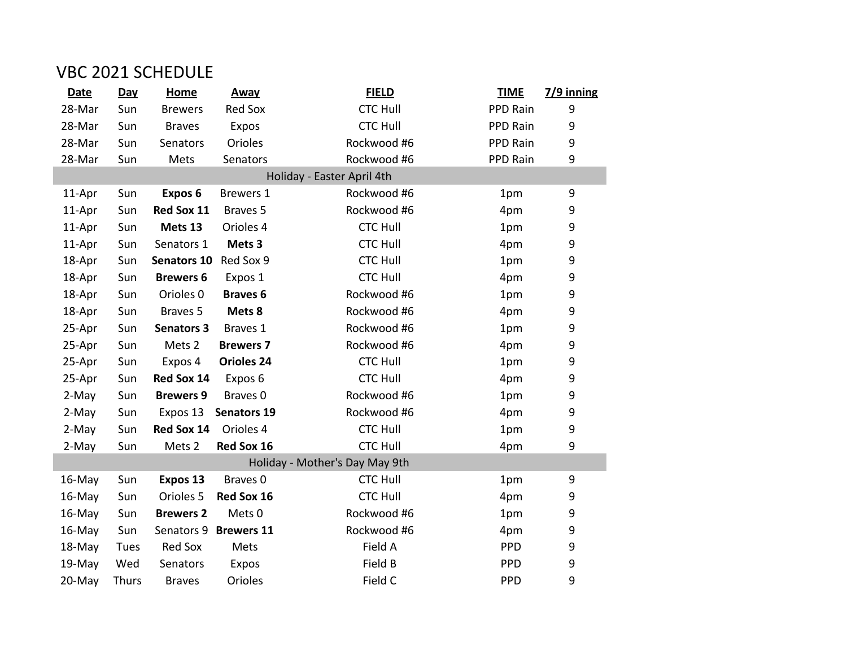## VBC 2021 SCHEDULE

| <b>Date</b> | Day          | <b>Home</b>          | <b>Away</b>         | <b>FIELD</b>                   | <b>TIME</b> | $7/9$ inning |
|-------------|--------------|----------------------|---------------------|--------------------------------|-------------|--------------|
| 28-Mar      | Sun          | <b>Brewers</b>       | <b>Red Sox</b>      | <b>CTC Hull</b>                | PPD Rain    | 9            |
| 28-Mar      | Sun          | <b>Braves</b>        | Expos               | <b>CTC Hull</b>                | PPD Rain    | 9            |
| 28-Mar      | Sun          | Senators             | Orioles             | Rockwood #6                    | PPD Rain    | 9            |
| 28-Mar      | Sun          | Mets                 | Senators            | Rockwood #6                    | PPD Rain    | 9            |
|             |              |                      |                     | Holiday - Easter April 4th     |             |              |
| 11-Apr      | Sun          | Expos <sub>6</sub>   | <b>Brewers 1</b>    | Rockwood #6                    | 1pm         | 9            |
| 11-Apr      | Sun          | Red Sox 11           | Braves <sub>5</sub> | Rockwood #6                    | 4pm         | 9            |
| 11-Apr      | Sun          | Mets 13              | Orioles 4           | <b>CTC Hull</b>                | 1pm         | 9            |
| 11-Apr      | Sun          | Senators 1           | Mets <sub>3</sub>   | <b>CTC Hull</b>                | 4pm         | 9            |
| 18-Apr      | Sun          | <b>Senators 10</b>   | Red Sox 9           | <b>CTC Hull</b>                | 1pm         | 9            |
| 18-Apr      | Sun          | <b>Brewers 6</b>     | Expos 1             | <b>CTC Hull</b>                | 4pm         | 9            |
| 18-Apr      | Sun          | Orioles <sub>0</sub> | <b>Braves 6</b>     | Rockwood #6                    | 1pm         | 9            |
| 18-Apr      | Sun          | Braves 5             | Mets 8              | Rockwood #6                    | 4pm         | 9            |
| 25-Apr      | Sun          | <b>Senators 3</b>    | Braves 1            | Rockwood #6                    | 1pm         | 9            |
| 25-Apr      | Sun          | Mets 2               | <b>Brewers 7</b>    | Rockwood #6                    | 4pm         | 9            |
| 25-Apr      | Sun          | Expos 4              | <b>Orioles 24</b>   | <b>CTC Hull</b>                | 1pm         | 9            |
| 25-Apr      | Sun          | Red Sox 14           | Expos 6             | <b>CTC Hull</b>                | 4pm         | 9            |
| 2-May       | Sun          | <b>Brewers 9</b>     | Braves <sub>0</sub> | Rockwood #6                    | 1pm         | 9            |
| 2-May       | Sun          | Expos 13             | <b>Senators 19</b>  | Rockwood #6                    | 4pm         | 9            |
| 2-May       | Sun          | Red Sox 14           | Orioles 4           | <b>CTC Hull</b>                | 1pm         | 9            |
| 2-May       | Sun          | Mets 2               | Red Sox 16          | <b>CTC Hull</b>                | 4pm         | 9            |
|             |              |                      |                     | Holiday - Mother's Day May 9th |             |              |
| 16-May      | Sun          | Expos 13             | Braves <sub>0</sub> | <b>CTC Hull</b>                | 1pm         | 9            |
| 16-May      | Sun          | Orioles <sub>5</sub> | Red Sox 16          | <b>CTC Hull</b>                | 4pm         | 9            |
| 16-May      | Sun          | <b>Brewers 2</b>     | Mets <sub>0</sub>   | Rockwood #6                    | 1pm         | 9            |
| 16-May      | Sun          | Senators 9           | <b>Brewers 11</b>   | Rockwood #6                    | 4pm         | 9            |
| 18-May      | Tues         | <b>Red Sox</b>       | Mets                | Field A                        | <b>PPD</b>  | 9            |
| 19-May      | Wed          | Senators             | Expos               | Field B                        | <b>PPD</b>  | 9            |
| 20-May      | <b>Thurs</b> | <b>Braves</b>        | Orioles             | Field C                        | <b>PPD</b>  | 9            |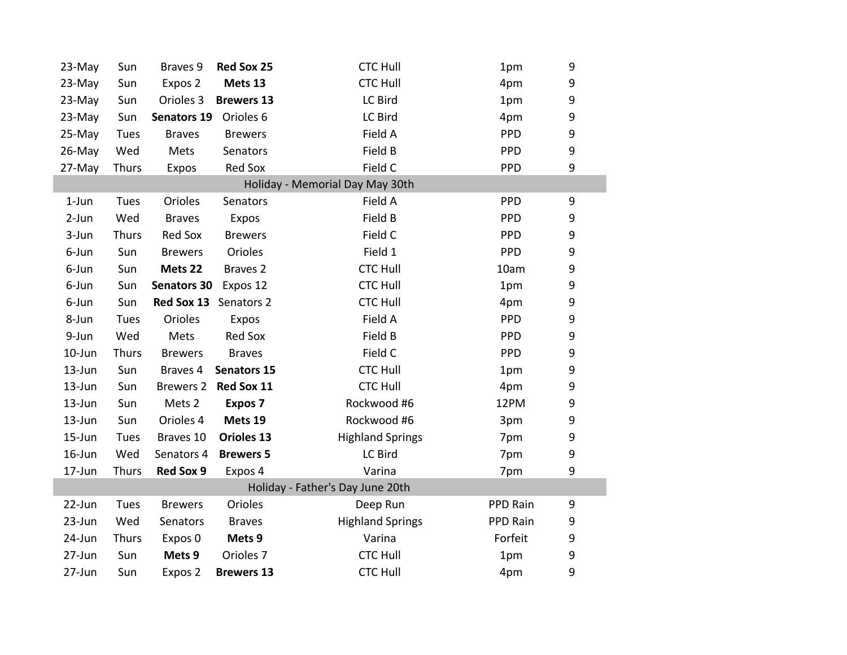| 23-May                           | Sun         | Braves 9           | Red Sox 25            | <b>CTC Hull</b>                 | 1pm        | 9                |  |  |
|----------------------------------|-------------|--------------------|-----------------------|---------------------------------|------------|------------------|--|--|
| 23-May                           | Sun         | Expos 2            | Mets 13               | <b>CTC Hull</b>                 | 4pm        | 9                |  |  |
| 23-May                           | Sun         | Orioles 3          | <b>Brewers 13</b>     | LC Bird                         | 1pm        | 9                |  |  |
| 23-May                           | Sun         | <b>Senators 19</b> | Orioles 6             | LC Bird                         | 4pm        | 9                |  |  |
| 25-May                           | <b>Tues</b> | <b>Braves</b>      | <b>Brewers</b>        | Field A                         | PPD        | 9                |  |  |
| 26-May                           | Wed         | Mets               | Senators              | Field B                         | <b>PPD</b> | $\boldsymbol{9}$ |  |  |
| 27-May                           | Thurs       | Expos              | Red Sox               | Field C                         | <b>PPD</b> | 9                |  |  |
|                                  |             |                    |                       | Holiday - Memorial Day May 30th |            |                  |  |  |
| $1$ -Jun                         | Tues        | Orioles            | Senators              | Field A                         | PPD        | 9                |  |  |
| 2-Jun                            | Wed         | <b>Braves</b>      | Expos                 | Field B                         | <b>PPD</b> | 9                |  |  |
| 3-Jun                            | Thurs       | Red Sox            | <b>Brewers</b>        | Field C                         | PPD        | 9                |  |  |
| 6-Jun                            | Sun         | <b>Brewers</b>     | Orioles               | Field 1                         | PPD        | 9                |  |  |
| 6-Jun                            | Sun         | Mets 22            | Braves <sub>2</sub>   | <b>CTC Hull</b>                 | 10am       | 9                |  |  |
| 6-Jun                            | Sun         | <b>Senators 30</b> | Expos 12              | <b>CTC Hull</b>                 | 1pm        | 9                |  |  |
| 6-Jun                            | Sun         |                    | Red Sox 13 Senators 2 | <b>CTC Hull</b>                 | 4pm        | $\boldsymbol{9}$ |  |  |
| 8-Jun                            | Tues        | Orioles            | Expos                 | Field A                         | <b>PPD</b> | 9                |  |  |
| 9-Jun                            | Wed         | Mets               | Red Sox               | Field B                         | PPD        | 9                |  |  |
| 10-Jun                           | Thurs       | <b>Brewers</b>     | <b>Braves</b>         | Field C                         | <b>PPD</b> | 9                |  |  |
| 13-Jun                           | Sun         | Braves 4           | <b>Senators 15</b>    | <b>CTC Hull</b>                 | 1pm        | 9                |  |  |
| 13-Jun                           | Sun         |                    | Brewers 2 Red Sox 11  | <b>CTC Hull</b>                 | 4pm        | 9                |  |  |
| $13$ -Jun                        | Sun         | Mets 2             | Expos 7               | Rockwood #6                     | 12PM       | 9                |  |  |
| 13-Jun                           | Sun         | Orioles 4          | Mets 19               | Rockwood #6                     | 3pm        | 9                |  |  |
| $15 - Jun$                       | <b>Tues</b> | Braves 10          | Orioles 13            | <b>Highland Springs</b>         | 7pm        | 9                |  |  |
| $16$ -Jun                        | Wed         | Senators 4         | <b>Brewers 5</b>      | LC Bird                         | 7pm        | 9                |  |  |
| 17-Jun                           | Thurs       | <b>Red Sox 9</b>   | Expos 4               | Varina                          | 7pm        | 9                |  |  |
| Holiday - Father's Day June 20th |             |                    |                       |                                 |            |                  |  |  |
| 22-Jun                           | <b>Tues</b> | <b>Brewers</b>     | Orioles               | Deep Run                        | PPD Rain   | 9                |  |  |
| 23-Jun                           | Wed         | Senators           | <b>Braves</b>         | <b>Highland Springs</b>         | PPD Rain   | 9                |  |  |
| 24-Jun                           | Thurs       | Expos 0            | Mets 9                | Varina                          | Forfeit    | 9                |  |  |
| 27-Jun                           | Sun         | Mets 9             | Orioles <sub>7</sub>  | <b>CTC Hull</b>                 | 1pm        | 9                |  |  |
| 27-Jun                           | Sun         | Expos 2            | <b>Brewers 13</b>     | <b>CTC Hull</b>                 | 4pm        | 9                |  |  |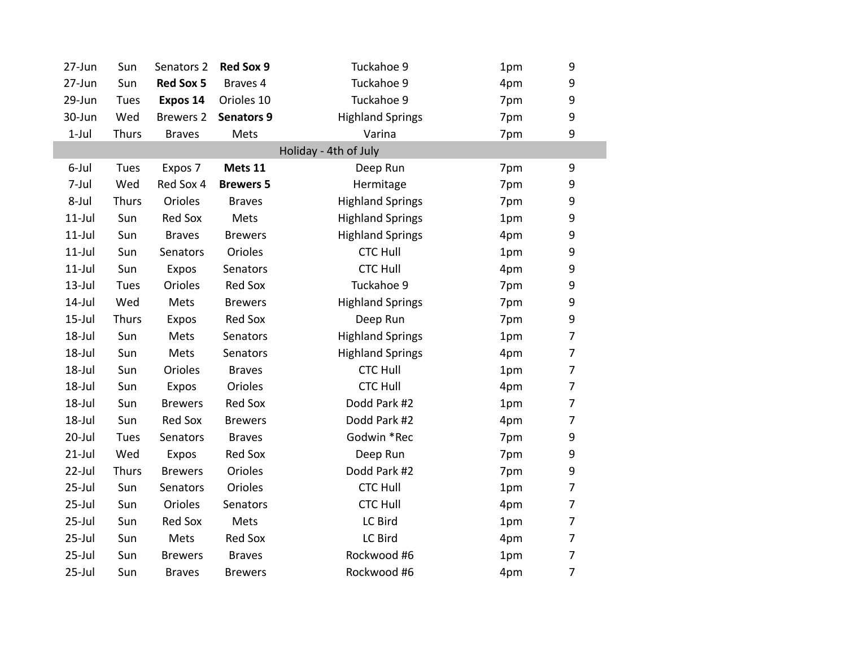| 27-Jun     | Sun         | Senators 2       | <b>Red Sox 9</b>  | Tuckahoe 9              | 1pm | 9                        |
|------------|-------------|------------------|-------------------|-------------------------|-----|--------------------------|
| 27-Jun     | Sun         | <b>Red Sox 5</b> | Braves 4          | Tuckahoe 9              | 4pm | 9                        |
| 29-Jun     | <b>Tues</b> | Expos 14         | Orioles 10        | Tuckahoe 9              | 7pm | 9                        |
| 30-Jun     | Wed         | <b>Brewers 2</b> | <b>Senators 9</b> | <b>Highland Springs</b> | 7pm | 9                        |
| $1$ -Jul   | Thurs       | <b>Braves</b>    | Mets              | Varina                  | 7pm | 9                        |
|            |             |                  |                   | Holiday - 4th of July   |     |                          |
| 6-Jul      | Tues        | Expos 7          | Mets 11           | Deep Run                | 7pm | 9                        |
| 7-Jul      | Wed         | Red Sox 4        | <b>Brewers 5</b>  | Hermitage               | 7pm | 9                        |
| 8-Jul      | Thurs       | Orioles          | <b>Braves</b>     | <b>Highland Springs</b> | 7pm | 9                        |
| $11$ -Jul  | Sun         | <b>Red Sox</b>   | Mets              | <b>Highland Springs</b> | 1pm | 9                        |
| $11$ -Jul  | Sun         | <b>Braves</b>    | <b>Brewers</b>    | <b>Highland Springs</b> | 4pm | 9                        |
| $11$ -Jul  | Sun         | Senators         | Orioles           | <b>CTC Hull</b>         | 1pm | 9                        |
| $11$ -Jul  | Sun         | Expos            | Senators          | <b>CTC Hull</b>         | 4pm | $\mathsf 9$              |
| $13$ -Jul  | Tues        | Orioles          | <b>Red Sox</b>    | Tuckahoe 9              | 7pm | $\mathsf 9$              |
| $14$ -Jul  | Wed         | Mets             | <b>Brewers</b>    | <b>Highland Springs</b> | 7pm | 9                        |
| $15$ -Jul  | Thurs       | Expos            | Red Sox           | Deep Run                | 7pm | 9                        |
| 18-Jul     | Sun         | Mets             | Senators          | <b>Highland Springs</b> | 1pm | $\overline{\mathcal{I}}$ |
| 18-Jul     | Sun         | Mets             | Senators          | <b>Highland Springs</b> | 4pm | $\overline{7}$           |
| 18-Jul     | Sun         | Orioles          | <b>Braves</b>     | <b>CTC Hull</b>         | 1pm | $\overline{7}$           |
| 18-Jul     | Sun         | Expos            | Orioles           | <b>CTC Hull</b>         | 4pm | 7                        |
| 18-Jul     | Sun         | <b>Brewers</b>   | <b>Red Sox</b>    | Dodd Park #2            | 1pm | $\overline{7}$           |
| 18-Jul     | Sun         | Red Sox          | <b>Brewers</b>    | Dodd Park #2            | 4pm | $\overline{7}$           |
| 20-Jul     | <b>Tues</b> | Senators         | <b>Braves</b>     | Godwin *Rec             | 7pm | 9                        |
| $21$ -Jul  | Wed         | Expos            | Red Sox           | Deep Run                | 7pm | $\mathsf 9$              |
| $22$ -Jul  | Thurs       | <b>Brewers</b>   | Orioles           | Dodd Park #2            | 7pm | 9                        |
| $25$ -Jul  | Sun         | Senators         | Orioles           | <b>CTC Hull</b>         | 1pm | $\overline{7}$           |
| $25$ -Jul  | Sun         | Orioles          | Senators          | <b>CTC Hull</b>         | 4pm | $\overline{7}$           |
| $25$ -Jul  | Sun         | <b>Red Sox</b>   | Mets              | LC Bird                 | 1pm | $\overline{7}$           |
| $25$ -Jul  | Sun         | Mets             | Red Sox           | LC Bird                 | 4pm | $\overline{7}$           |
| $25$ -Jul  | Sun         | <b>Brewers</b>   | <b>Braves</b>     | Rockwood #6             | 1pm | $\overline{7}$           |
| $25 -$ Jul | Sun         | <b>Braves</b>    | <b>Brewers</b>    | Rockwood #6             | 4pm | $\overline{7}$           |